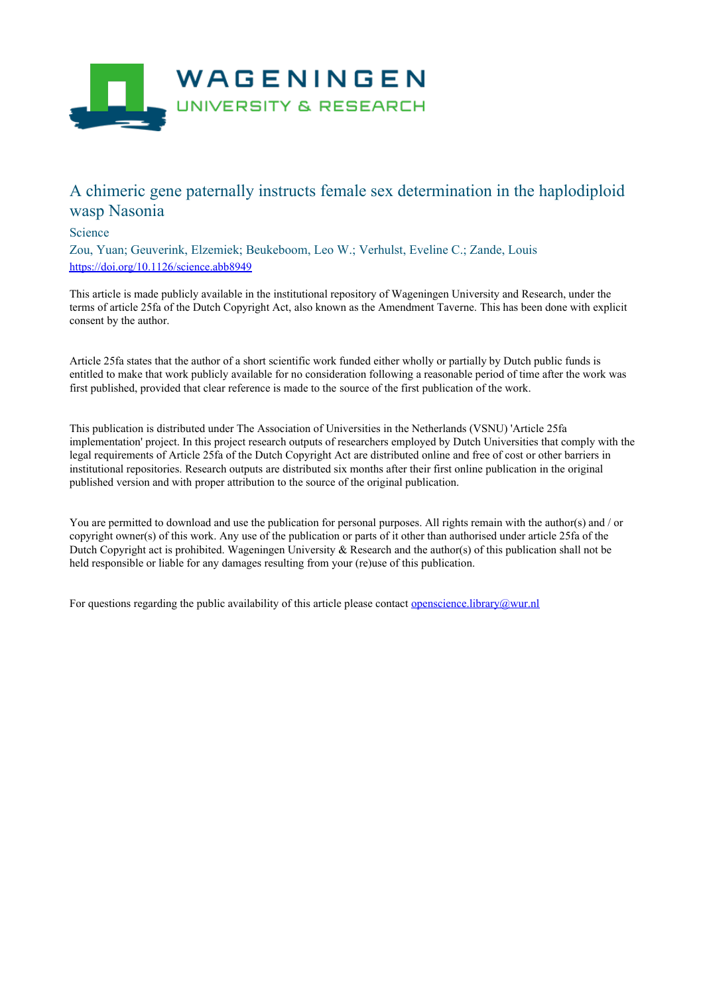

## A chimeric gene paternally instructs female sex determination in the haplodiploid wasp Nasonia

## Science

Zou, Yuan; Geuverink, Elzemiek; Beukeboom, Leo W.; Verhulst, Eveline C.; Zande, Louis <https://doi.org/10.1126/science.abb8949>

This article is made publicly available in the institutional repository of Wageningen University and Research, under the terms of article 25fa of the Dutch Copyright Act, also known as the Amendment Taverne. This has been done with explicit consent by the author.

Article 25fa states that the author of a short scientific work funded either wholly or partially by Dutch public funds is entitled to make that work publicly available for no consideration following a reasonable period of time after the work was first published, provided that clear reference is made to the source of the first publication of the work.

This publication is distributed under The Association of Universities in the Netherlands (VSNU) 'Article 25fa implementation' project. In this project research outputs of researchers employed by Dutch Universities that comply with the legal requirements of Article 25fa of the Dutch Copyright Act are distributed online and free of cost or other barriers in institutional repositories. Research outputs are distributed six months after their first online publication in the original published version and with proper attribution to the source of the original publication.

You are permitted to download and use the publication for personal purposes. All rights remain with the author(s) and / or copyright owner(s) of this work. Any use of the publication or parts of it other than authorised under article 25fa of the Dutch Copyright act is prohibited. Wageningen University & Research and the author(s) of this publication shall not be held responsible or liable for any damages resulting from your (re)use of this publication.

For questions regarding the public availability of this article please contact [openscience.library@wur.nl](mailto:openscience.library@wur.nl)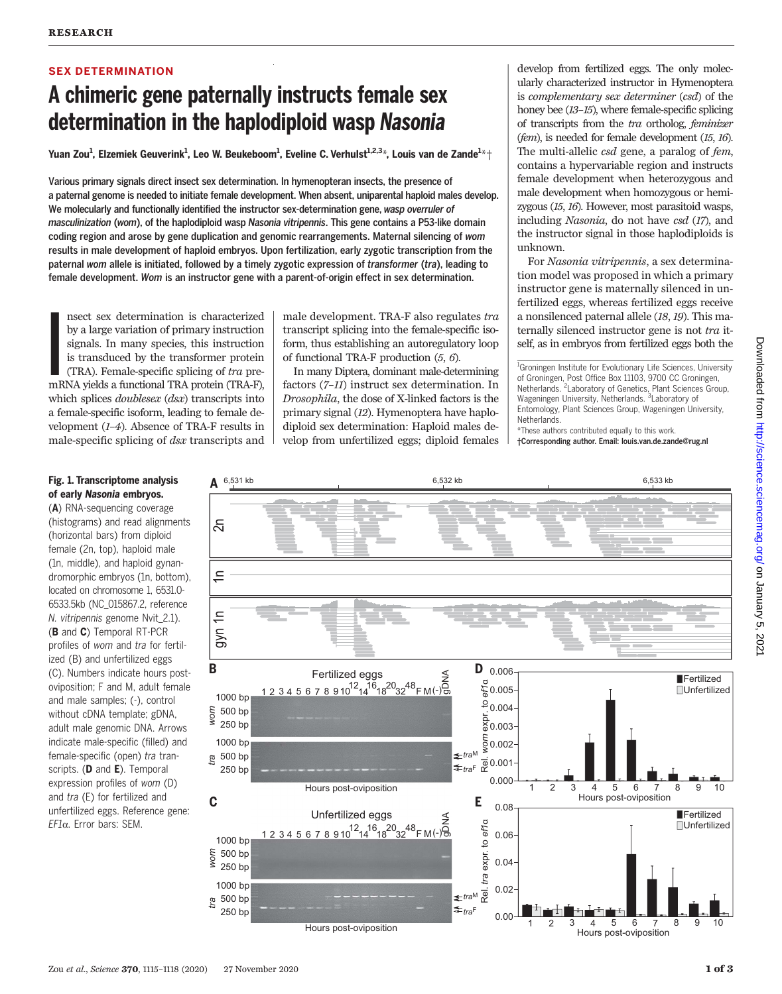## SEX DETERMINATION

## A chimeric gene paternally instructs female sex determination in the haplodiploid wasp Nasonia

Yuan Zou<sup>1</sup>, Elzemiek Geuverink<sup>1</sup>, Leo W. Beukeboom<sup>1</sup>, Eveline C. Verhulst<sup>1,2,3</sup>\*, Louis van de Zande<sup>1</sup>\*†

Various primary signals direct insect sex determination. In hymenopteran insects, the presence of a paternal genome is needed to initiate female development. When absent, uniparental haploid males develop. We molecularly and functionally identified the instructor sex-determination gene, wasp overruler of masculinization (wom), of the haplodiploid wasp Nasonia vitripennis. This gene contains a P53-like domain coding region and arose by gene duplication and genomic rearrangements. Maternal silencing of wom results in male development of haploid embryos. Upon fertilization, early zygotic transcription from the paternal wom allele is initiated, followed by a timely zygotic expression of transformer (tra), leading to female development. Wom is an instructor gene with a parent-of-origin effect in sex determination.

**I**<br>I<br>I<br>I<br>II nsect sex determination is characterized by a large variation of primary instruction signals. In many species, this instruction is transduced by the transformer protein (TRA). Female-specific splicing of tra premRNA yields a functional TRA protein (TRA-F), which splices *doublesex* (*dsx*) transcripts into a female-specific isoform, leading to female development (1–4). Absence of TRA-F results in male-specific splicing of dsx transcripts and

male development. TRA-F also regulates tra transcript splicing into the female-specific isoform, thus establishing an autoregulatory loop of functional TRA-F production (5, 6).

In many Diptera, dominant male-determining factors (7–11) instruct sex determination. In Drosophila, the dose of X-linked factors is the primary signal (12). Hymenoptera have haplodiploid sex determination: Haploid males develop from unfertilized eggs; diploid females

develop from fertilized eggs. The only molecularly characterized instructor in Hymenoptera is complementary sex determiner (csd) of the honey bee (13–15), where female-specific splicing of transcripts from the tra ortholog, feminizer (fem), is needed for female development (15, 16). The multi-allelic *csd* gene, a paralog of *fem*, contains a hypervariable region and instructs female development when heterozygous and male development when homozygous or hemizygous (15, 16). However, most parasitoid wasps, including Nasonia, do not have csd (17), and the instructor signal in those haplodiploids is unknown.

For Nasonia vitripennis, a sex determination model was proposed in which a primary instructor gene is maternally silenced in unfertilized eggs, whereas fertilized eggs receive a nonsilenced paternal allele (18, 19). This maternally silenced instructor gene is not tra itself, as in embryos from fertilized eggs both the

<sup>1</sup>Groningen Institute for Evolutionary Life Sciences, University of Groningen, Post Office Box 11103, 9700 CC Groningen, Netherlands. <sup>2</sup> Laboratory of Genetics, Plant Sciences Group, Wageningen University, Netherlands. <sup>3</sup>Laboratory of Entomology, Plant Sciences Group, Wageningen University, **Netherlands** 

\*These authors contributed equally to this work. †Corresponding author. Email: louis.van.de.zande@rug.nl

## Fig. 1. Transcriptome analysis of early Nasonia embryos.

(A) RNA-sequencing coverage (histograms) and read alignments (horizontal bars) from diploid female (2n, top), haploid male (1n, middle), and haploid gynandromorphic embryos (1n, bottom), located on chromosome 1, 6531.0- 6533.5kb (NC\_015867.2, reference N. vitripennis genome Nvit\_2.1). (B and C) Temporal RT-PCR profiles of wom and tra for fertilized (B) and unfertilized eggs (C). Numbers indicate hours postoviposition; F and M, adult female and male samples; (-), control without cDNA template; gDNA, adult male genomic DNA. Arrows indicate male-specific (filled) and female-specific (open) tra transcripts. (D and E). Temporal expression profiles of wom (D) and tra (E) for fertilized and unfertilized eggs. Reference gene: EF1a. Error bars: SEM.

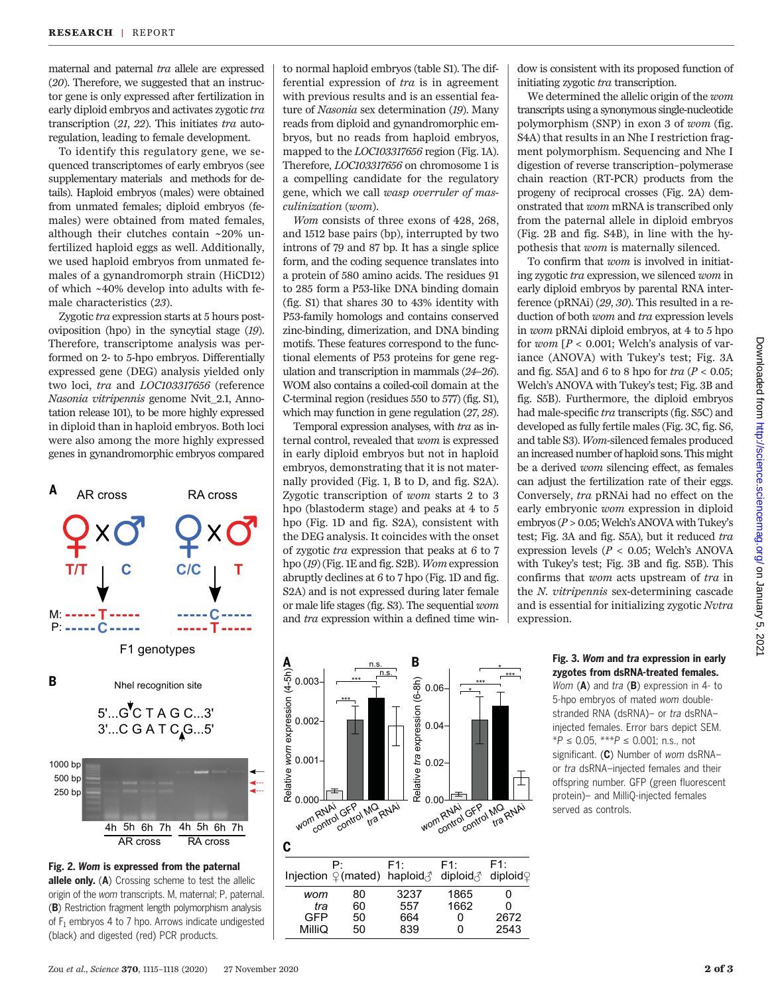maternal and paternal tra allele are expressed (20). Therefore, we suggested that an instructor gene is only expressed after fertilization in early diploid embryos and activates zygotic tra transcription (21, 22). This initiates tra autoregulation, leading to female development.

To identify this regulatory gene, we sequenced transcriptomes of early embryos (see supplementary materials and methods for details). Haploid embryos (males) were obtained from unmated females; diploid embryos (females) were obtained from mated females, although their clutches contain ~20% unfertilized haploid eggs as well. Additionally, we used haploid embryos from unmated females of a gynandromorph strain (HiCD12) of which ~40% develop into adults with female characteristics (23).

Zygotic tra expression starts at 5 hours postoviposition (hpo) in the syncytial stage (19). Therefore, transcriptome analysis was performed on 2- to 5-hpo embryos. Differentially expressed gene (DEG) analysis yielded only two loci, tra and LOC103317656 (reference Nasonia vitripennis genome Nvit\_2.1, Annotation release 101), to be more highly expressed in diploid than in haploid embryos. Both loci were also among the more highly expressed genes in gynandromorphic embryos compared



Fig. 2. Wom is expressed from the paternal allele only. (A) Crossing scheme to test the allelic origin of the wom transcripts. M, maternal; P, paternal. (B) Restriction fragment length polymorphism analysis of  $F_1$  embryos 4 to 7 hpo. Arrows indicate undigested (black) and digested (red) PCR products.

to normal haploid embryos (table S1). The differential expression of tra is in agreement with previous results and is an essential feature of Nasonia sex determination (19). Many reads from diploid and gynandromorphic embryos, but no reads from haploid embryos, mapped to the LOC103317656 region (Fig. 1A). Therefore, LOC103317656 on chromosome 1 is a compelling candidate for the regulatory gene, which we call wasp overruler of masculinization (wom).

Wom consists of three exons of 428, 268, and 1512 base pairs (bp), interrupted by two introns of 79 and 87 bp. It has a single splice form, and the coding sequence translates into a protein of 580 amino acids. The residues 91 to 285 form a P53-like DNA binding domain (fig. S1) that shares 30 to 43% identity with P53-family homologs and contains conserved zinc-binding, dimerization, and DNA binding motifs. These features correspond to the functional elements of P53 proteins for gene regulation and transcription in mammals (24–26). WOM also contains a coiled-coil domain at the C-terminal region (residues 550 to 577) (fig. S1), which may function in gene regulation (27, 28).

Temporal expression analyses, with tra as internal control, revealed that wom is expressed in early diploid embryos but not in haploid embryos, demonstrating that it is not maternally provided (Fig. 1, B to D, and fig. S2A). Zygotic transcription of wom starts 2 to 3 hpo (blastoderm stage) and peaks at 4 to 5 hpo (Fig. 1D and fig. S2A), consistent with the DEG analysis. It coincides with the onset of zygotic tra expression that peaks at 6 to 7 hpo (19) (Fig. 1E and fig. S2B). Wom expression abruptly declines at 6 to 7 hpo (Fig. 1D and fig. S2A) and is not expressed during later female or male life stages (fig. S3). The sequential wom and tra expression within a defined time win-

 $\mathbf{A}$  **B** n.s. \* Relative *wom* expression (4-5h) n.s. \*\*\* 0.003 \*\*\* Relative *tra* expression (6-8h) \*\*\* 0.06 \* \*\*\* 0.002 0.04 0.001  $0.02$ lative **RE** 0.000 0.000 ILLUSTRANA 2ND 20.00<br>wom<sub>control</sub> Gregory tra RNAI 20.00<br>wom<sub>control</sub> control tra RNAI wom RNA<sup>i</sup> GFP MQ RNAi **C** P: F1: F1:  $F1:$ diploid ∂ diploid Injection  $\mathcal{Q}$  (mated) haploid *wom* 80 3237 1865 0 1662 *tra*  $\Omega$ GFP 50 664 0 2672 MilliQ 839 0 50 2543

dow is consistent with its proposed function of initiating zygotic tra transcription.

We determined the allelic origin of the wom transcripts using a synonymous single-nucleotide polymorphism (SNP) in exon 3 of wom (fig. S4A) that results in an Nhe I restriction fragment polymorphism. Sequencing and Nhe I digestion of reverse transcription–polymerase chain reaction (RT-PCR) products from the progeny of reciprocal crosses (Fig. 2A) demonstrated that wom mRNA is transcribed only from the paternal allele in diploid embryos (Fig. 2B and fig. S4B), in line with the hypothesis that wom is maternally silenced.

To confirm that wom is involved in initiating zygotic tra expression, we silenced wom in early diploid embryos by parental RNA interference (pRNAi) (29, 30). This resulted in a reduction of both wom and tra expression levels in wom pRNAi diploid embryos, at 4 to 5 hpo for wom  $[P < 0.001$ ; Welch's analysis of variance (ANOVA) with Tukey's test; Fig. 3A and fig. S5A] and 6 to 8 hpo for  $tra$  ( $P < 0.05$ ; Welch's ANOVA with Tukey's test; Fig. 3B and fig. S5B). Furthermore, the diploid embryos had male-specific tra transcripts (fig. S5C) and developed as fully fertile males (Fig. 3C, fig. S6, and table S3). Wom-silenced females produced an increased number of haploid sons. This might be a derived wom silencing effect, as females can adjust the fertilization rate of their eggs. Conversely, tra pRNAi had no effect on the early embryonic wom expression in diploid embryos ( $P > 0.05$ ; Welch's ANOVA with Tukey's test; Fig. 3A and fig. S5A), but it reduced tra expression levels ( $P < 0.05$ ; Welch's ANOVA with Tukey's test; Fig. 3B and fig. S5B). This confirms that wom acts upstream of tra in the N. vitripennis sex-determining cascade and is essential for initializing zygotic Nvtra expression.

## Fig. 3. Wom and tra expression in early zygotes from dsRNA-treated females.

Wom  $(A)$  and tra  $(B)$  expression in 4- to 5-hpo embryos of mated wom doublestranded RNA (dsRNA)- or tra dsRNAinjected females. Error bars depict SEM.  $*P \le 0.05$ ,  $***P \le 0.001$ ; n.s., not significant. (C) Number of wom dsRNAor tra dsRNA–injected females and their offspring number. GFP (green fluorescent protein)– and MilliQ-injected females served as controls.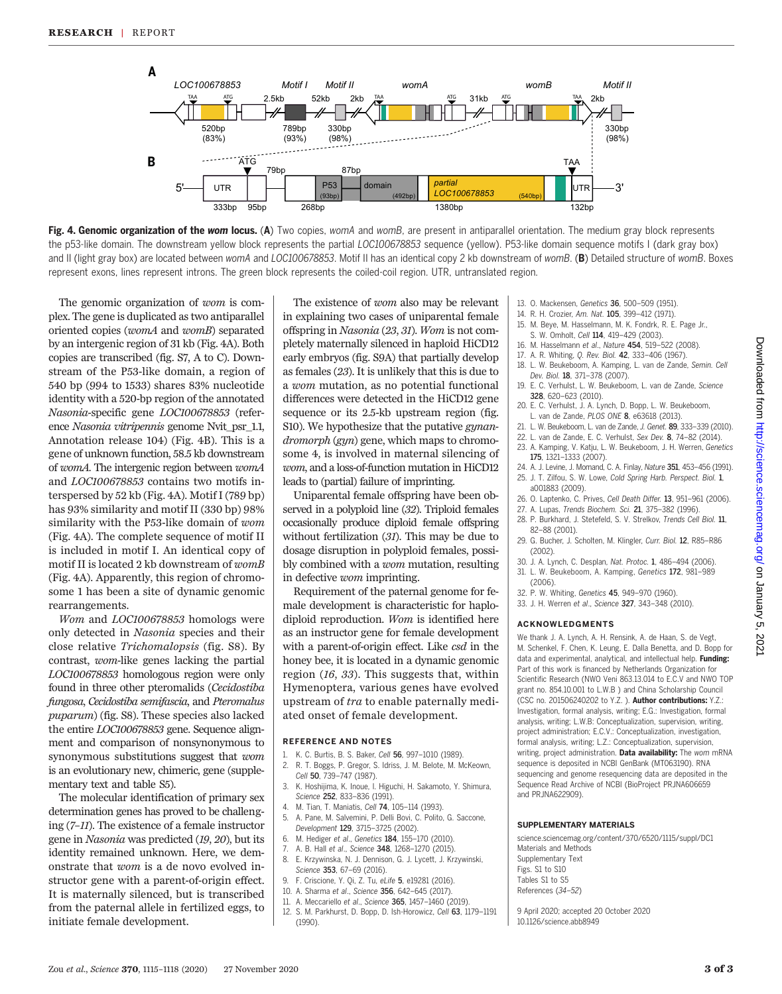

Fig. 4. Genomic organization of the wom locus. (A) Two copies, womA and womB, are present in antiparallel orientation. The medium gray block represents the p53-like domain. The downstream yellow block represents the partial LOC100678853 sequence (yellow). P53-like domain sequence motifs I (dark gray box) and II (light gray box) are located between womA and LOC100678853. Motif II has an identical copy 2 kb downstream of womB. (B) Detailed structure of womB. Boxes represent exons, lines represent introns. The green block represents the coiled-coil region. UTR, untranslated region.

The genomic organization of wom is complex. The gene is duplicated as two antiparallel oriented copies (womA and womB) separated by an intergenic region of 31 kb (Fig. 4A). Both copies are transcribed (fig. S7, A to C). Downstream of the P53-like domain, a region of 540 bp (994 to 1533) shares 83% nucleotide identity with a 520-bp region of the annotated Nasonia-specific gene LOC100678853 (reference Nasonia vitripennis genome Nvit\_psr\_1.1, Annotation release 104) (Fig. 4B). This is a gene of unknown function, 58.5 kb downstream of womA. The intergenic region between womA and LOC100678853 contains two motifs interspersed by 52 kb (Fig. 4A). Motif I (789 bp) has 93% similarity and motif II (330 bp) 98% similarity with the P53-like domain of wom (Fig. 4A). The complete sequence of motif II is included in motif I. An identical copy of motif II is located 2 kb downstream of womB (Fig. 4A). Apparently, this region of chromosome 1 has been a site of dynamic genomic rearrangements.

Wom and LOC100678853 homologs were only detected in Nasonia species and their close relative Trichomalopsis (fig. S8). By contrast, wom-like genes lacking the partial LOC100678853 homologous region were only found in three other pteromalids (Cecidostiba fungosa, Cecidostiba semifascia, and Pteromalus puparum) (fig. S8). These species also lacked the entire LOC100678853 gene. Sequence alignment and comparison of nonsynonymous to synonymous substitutions suggest that wom is an evolutionary new, chimeric, gene (supplementary text and table S5).

The molecular identification of primary sex determination genes has proved to be challenging (7–11). The existence of a female instructor gene in Nasonia was predicted (19, 20), but its identity remained unknown. Here, we demonstrate that wom is a de novo evolved instructor gene with a parent-of-origin effect. It is maternally silenced, but is transcribed from the paternal allele in fertilized eggs, to initiate female development.

The existence of wom also may be relevant in explaining two cases of uniparental female offspring in Nasonia (23, 31). Wom is not completely maternally silenced in haploid HiCD12 early embryos (fig. S9A) that partially develop as females (23). It is unlikely that this is due to a wom mutation, as no potential functional differences were detected in the HiCD12 gene sequence or its 2.5-kb upstream region (fig. S10). We hypothesize that the putative *gynan*dromorph (gyn) gene, which maps to chromosome 4, is involved in maternal silencing of wom, and a loss-of-function mutation in HiCD12 leads to (partial) failure of imprinting.

Uniparental female offspring have been observed in a polyploid line (32). Triploid females occasionally produce diploid female offspring without fertilization (31). This may be due to dosage disruption in polyploid females, possibly combined with a wom mutation, resulting in defective wom imprinting.

Requirement of the paternal genome for female development is characteristic for haplodiploid reproduction. Wom is identified here as an instructor gene for female development with a parent-of-origin effect. Like csd in the honey bee, it is located in a dynamic genomic region (16, 33). This suggests that, within Hymenoptera, various genes have evolved upstream of tra to enable paternally mediated onset of female development.

#### REFERENCE AND NOTES

- 1. K. C. Burtis, B. S. Baker, Cell 56, 997-1010 (1989).<br>2. R. T. Boggs, P. Gregor, S. Idriss, J. M. Belote, M. N.
- 2. R. T. Boggs, P. Gregor, S. Idriss, J. M. Belote, M. McKeown,
- Cell 50, 739-747 (1987). 3. K. Hoshijima, K. Inoue, I. Higuchi, H. Sakamoto, Y. Shimura,
- Science 252, 833–836 (1991).
- M. Tian, T. Maniatis, Cell 74, 105-114 (1993).
- 5. A. Pane, M. Salvemini, P. Delli Bovi, C. Polito, G. Saccone, Development 129, 3715–3725 (2002).
- 6. M. Hediger et al., Genetics 184, 155–170 (2010).
- A. B. Hall et al., Science 348, 1268-1270 (2015).
- 8. E. Krzywinska, N. J. Dennison, G. J. Lycett, J. Krzywinski, Science 353, 67–69 (2016).
- 9. F. Criscione, Y. Qi, Z. Tu, eLife 5, e19281 (2016).
- 10. A. Sharma et al., Science 356, 642–645 (2017).
- 11. A. Meccariello et al., Science 365, 1457–1460 (2019).
- 12. S. M. Parkhurst, D. Bopp, D. Ish-Horowicz, Cell 63, 1179–1191 (1990).
- 13. O. Mackensen, Genetics 36, 500–509 (1951).
- 14. R. H. Crozier, Am. Nat. 105, 399–412 (1971). 15. M. Beye, M. Hasselmann, M. K. Fondrk, R. E. Page Jr.,
- S. W. Omholt, Cell 114, 419-429 (2003).
- 16. M. Hasselmann et al., Nature 454, 519–522 (2008).
- 17. A. R. Whiting, Q. Rev. Biol. 42, 333–406 (1967).
- 18. L. W. Beukeboom, A. Kamping, L. van de Zande, Semin. Cell Dev. Biol. 18, 371–378 (2007).
- 19. E. C. Verhulst, L. W. Beukeboom, L. van de Zande, Science 328, 620–623 (2010).
- 20. E. C. Verhulst, J. A. Lynch, D. Bopp, L. W. Beukeboom, L. van de Zande, PLOS ONE 8, e63618 (2013).
- 21. L. W. Beukeboom, L. van de Zande, J. Genet. 89, 333–339 (2010).
- 22. L. van de Zande, E. C. Verhulst, Sex Dev. 8, 74–82 (2014).
- 23. A. Kamping, V. Katju, L. W. Beukeboom, J. H. Werren, Genetics
	- 175, 1321–1333 (2007).
- 24. A. J. Levine, J. Momand, C. A. Finlay, Nature 351, 453–456 (1991). 25. J. T. Zilfou, S. W. Lowe, Cold Spring Harb. Perspect. Biol. 1, a001883 (2009).
- 26. O. Laptenko, C. Prives, Cell Death Differ. 13, 951–961 (2006).
- 27. A. Lupas, Trends Biochem. Sci. 21, 375–382 (1996).
- 28. P. Burkhard, J. Stetefeld, S. V. Strelkov, Trends Cell Biol. 11, 82–88 (2001).
- 29. G. Bucher, J. Scholten, M. Klingler, Curr. Biol. 12, R85–R86 (2002).
- 30. J. A. Lynch, C. Desplan, Nat. Protoc. 1, 486–494 (2006).
- 31. L. W. Beukeboom, A. Kamping, Genetics 172, 981–989 (2006).
- 32. P. W. Whiting, Genetics 45, 949–970 (1960).
- 33. J. H. Werren et al., Science 327, 343–348 (2010).

#### ACKNOWLEDGMENTS

We thank J. A. Lynch, A. H. Rensink, A. de Haan, S. de Vegt, M. Schenkel, F. Chen, K. Leung, E. Dalla Benetta, and D. Bopp for data and experimental, analytical, and intellectual help. Funding: Part of this work is financed by Netherlands Organization for Scientific Research (NWO Veni 863.13.014 to E.C.V and NWO TOP grant no. 854.10.001 to L.W.B ) and China Scholarship Council (CSC no. 201506240202 to Y.Z. ). Author contributions: Y.Z.: Investigation, formal analysis, writing; E.G.: Investigation, formal analysis, writing; L.W.B: Conceptualization, supervision, writing, project administration; E.C.V.: Conceptualization, investigation, formal analysis, writing; L.Z.: Conceptualization, supervision, writing, project administration. Data availability: The wom mRNA sequence is deposited in NCBI GenBank (MT063190). RNA sequencing and genome resequencing data are deposited in the Sequence Read Archive of NCBI (BioProject PRJNA606659 and PRJNA622909).

#### SUPPLEMENTARY MATERIALS

[science.sciencemag.org/content/370/6520/1115/suppl/DC1](http://science.sciencemag.org/content/370/6520/1115/suppl/DC1) Materials and Methods Supplementary Text Figs. S1 to S10 Tables S1 to S5 References (34–52)

9 April 2020; accepted 20 October 2020 10.1126/science.abb8949